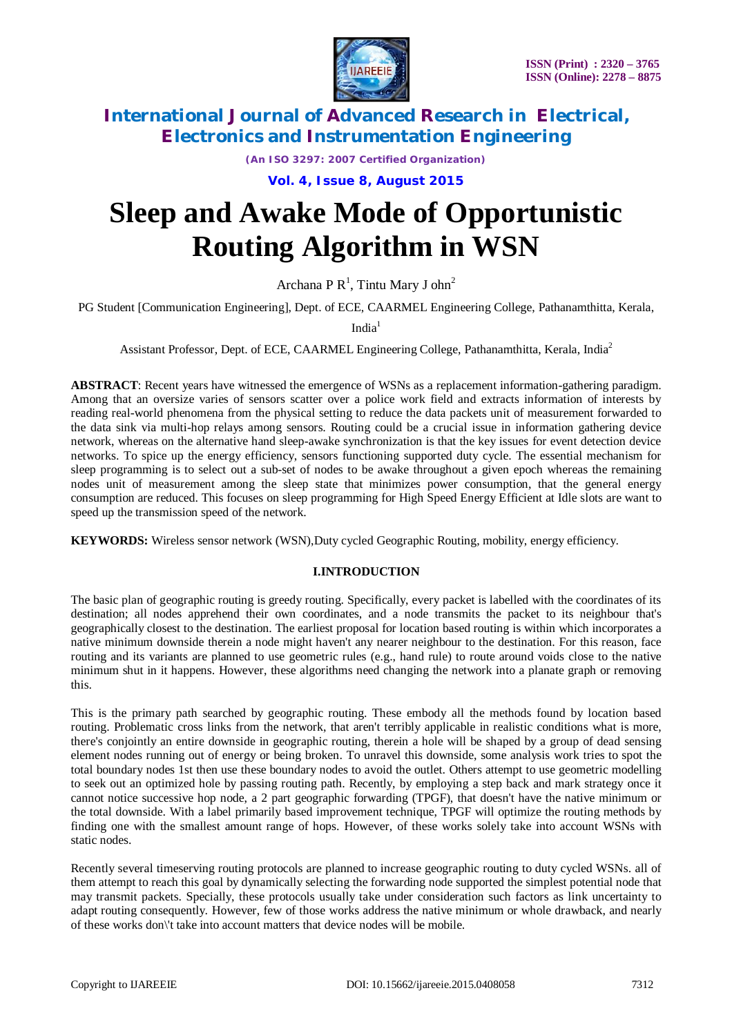

*(An ISO 3297: 2007 Certified Organization)*

**Vol. 4, Issue 8, August 2015**

# **Sleep and Awake Mode of Opportunistic Routing Algorithm in WSN**

Archana P  $R^1$ , Tintu Mary J ohn<sup>2</sup>

PG Student [Communication Engineering], Dept. of ECE, CAARMEL Engineering College, Pathanamthitta, Kerala,

 $India<sup>1</sup>$ 

Assistant Professor, Dept. of ECE, CAARMEL Engineering College, Pathanamthitta, Kerala, India<sup>2</sup>

**ABSTRACT**: Recent years have witnessed the emergence of WSNs as a replacement information-gathering paradigm. Among that an oversize varies of sensors scatter over a police work field and extracts information of interests by reading real-world phenomena from the physical setting to reduce the data packets unit of measurement forwarded to the data sink via multi-hop relays among sensors. Routing could be a crucial issue in information gathering device network, whereas on the alternative hand sleep-awake synchronization is that the key issues for event detection device networks. To spice up the energy efficiency, sensors functioning supported duty cycle. The essential mechanism for sleep programming is to select out a sub-set of nodes to be awake throughout a given epoch whereas the remaining nodes unit of measurement among the sleep state that minimizes power consumption, that the general energy consumption are reduced. This focuses on sleep programming for High Speed Energy Efficient at Idle slots are want to speed up the transmission speed of the network.

**KEYWORDS:** Wireless sensor network (WSN),Duty cycled Geographic Routing, mobility, energy efficiency.

# **I.INTRODUCTION**

The basic plan of geographic routing is greedy routing. Specifically, every packet is labelled with the coordinates of its destination; all nodes apprehend their own coordinates, and a node transmits the packet to its neighbour that's geographically closest to the destination. The earliest proposal for location based routing is within which incorporates a native minimum downside therein a node might haven't any nearer neighbour to the destination. For this reason, face routing and its variants are planned to use geometric rules (e.g., hand rule) to route around voids close to the native minimum shut in it happens. However, these algorithms need changing the network into a planate graph or removing this.

This is the primary path searched by geographic routing. These embody all the methods found by location based routing. Problematic cross links from the network, that aren't terribly applicable in realistic conditions what is more, there's conjointly an entire downside in geographic routing, therein a hole will be shaped by a group of dead sensing element nodes running out of energy or being broken. To unravel this downside, some analysis work tries to spot the total boundary nodes 1st then use these boundary nodes to avoid the outlet. Others attempt to use geometric modelling to seek out an optimized hole by passing routing path. Recently, by employing a step back and mark strategy once it cannot notice successive hop node, a 2 part geographic forwarding (TPGF), that doesn't have the native minimum or the total downside. With a label primarily based improvement technique, TPGF will optimize the routing methods by finding one with the smallest amount range of hops. However, of these works solely take into account WSNs with static nodes.

Recently several timeserving routing protocols are planned to increase geographic routing to duty cycled WSNs. all of them attempt to reach this goal by dynamically selecting the forwarding node supported the simplest potential node that may transmit packets. Specially, these protocols usually take under consideration such factors as link uncertainty to adapt routing consequently. However, few of those works address the native minimum or whole drawback, and nearly of these works don\'t take into account matters that device nodes will be mobile.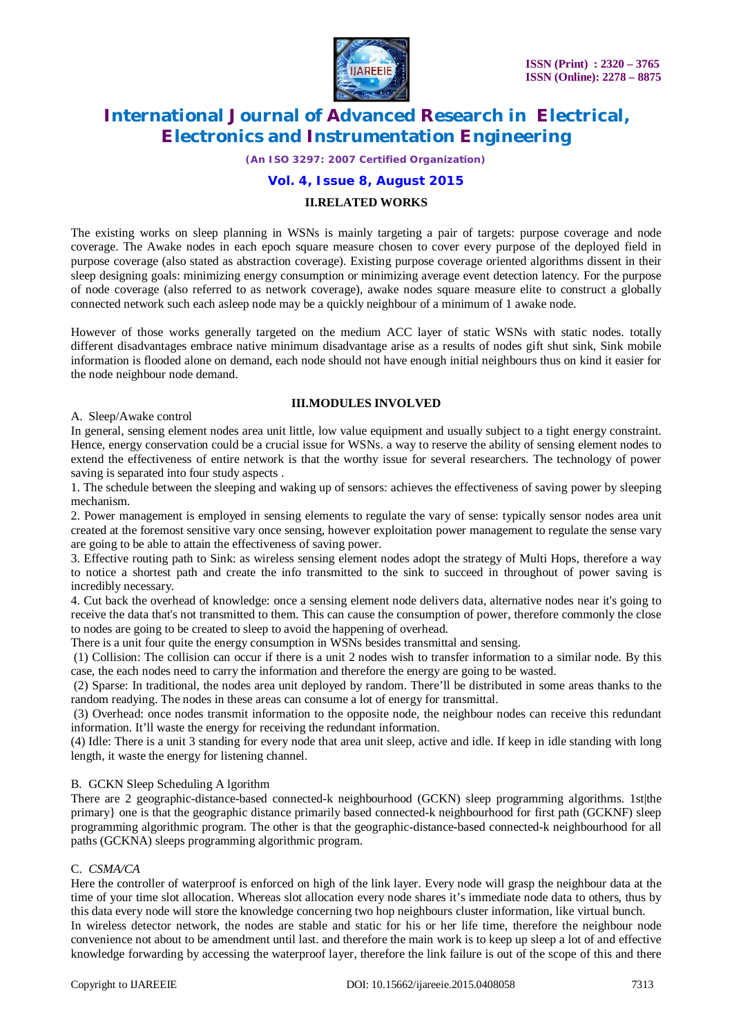

*(An ISO 3297: 2007 Certified Organization)*

### **Vol. 4, Issue 8, August 2015**

#### **II.RELATED WORKS**

The existing works on sleep planning in WSNs is mainly targeting a pair of targets: purpose coverage and node coverage. The Awake nodes in each epoch square measure chosen to cover every purpose of the deployed field in purpose coverage (also stated as abstraction coverage). Existing purpose coverage oriented algorithms dissent in their sleep designing goals: minimizing energy consumption or minimizing average event detection latency. For the purpose of node coverage (also referred to as network coverage), awake nodes square measure elite to construct a globally connected network such each asleep node may be a quickly neighbour of a minimum of 1 awake node.

However of those works generally targeted on the medium ACC layer of static WSNs with static nodes. totally different disadvantages embrace native minimum disadvantage arise as a results of nodes gift shut sink, Sink mobile information is flooded alone on demand, each node should not have enough initial neighbours thus on kind it easier for the node neighbour node demand.

#### **III.MODULES INVOLVED**

#### A. Sleep/Awake control

In general, sensing element nodes area unit little, low value equipment and usually subject to a tight energy constraint. Hence, energy conservation could be a crucial issue for WSNs. a way to reserve the ability of sensing element nodes to extend the effectiveness of entire network is that the worthy issue for several researchers. The technology of power saving is separated into four study aspects .

1. The schedule between the sleeping and waking up of sensors: achieves the effectiveness of saving power by sleeping mechanism.

2. Power management is employed in sensing elements to regulate the vary of sense: typically sensor nodes area unit created at the foremost sensitive vary once sensing, however exploitation power management to regulate the sense vary are going to be able to attain the effectiveness of saving power.

3. Effective routing path to Sink: as wireless sensing element nodes adopt the strategy of Multi Hops, therefore a way to notice a shortest path and create the info transmitted to the sink to succeed in throughout of power saving is incredibly necessary.

4. Cut back the overhead of knowledge: once a sensing element node delivers data, alternative nodes near it's going to receive the data that's not transmitted to them. This can cause the consumption of power, therefore commonly the close to nodes are going to be created to sleep to avoid the happening of overhead.

There is a unit four quite the energy consumption in WSNs besides transmittal and sensing.

(1) Collision: The collision can occur if there is a unit 2 nodes wish to transfer information to a similar node. By this case, the each nodes need to carry the information and therefore the energy are going to be wasted.

(2) Sparse: In traditional, the nodes area unit deployed by random. There'll be distributed in some areas thanks to the random readying. The nodes in these areas can consume a lot of energy for transmittal.

(3) Overhead: once nodes transmit information to the opposite node, the neighbour nodes can receive this redundant information. It'll waste the energy for receiving the redundant information.

(4) Idle: There is a unit 3 standing for every node that area unit sleep, active and idle. If keep in idle standing with long length, it waste the energy for listening channel.

#### B. GCKN Sleep Scheduling A lgorithm

There are 2 geographic-distance-based connected-k neighbourhood (GCKN) sleep programming algorithms. 1st|the primary} one is that the geographic distance primarily based connected-k neighbourhood for first path (GCKNF) sleep programming algorithmic program. The other is that the geographic-distance-based connected-k neighbourhood for all paths (GCKNA) sleeps programming algorithmic program.

#### C. *CSMA/CA*

Here the controller of waterproof is enforced on high of the link layer. Every node will grasp the neighbour data at the time of your time slot allocation. Whereas slot allocation every node shares it's immediate node data to others, thus by this data every node will store the knowledge concerning two hop neighbours cluster information, like virtual bunch.

In wireless detector network, the nodes are stable and static for his or her life time, therefore the neighbour node convenience not about to be amendment until last. and therefore the main work is to keep up sleep a lot of and effective knowledge forwarding by accessing the waterproof layer, therefore the link failure is out of the scope of this and there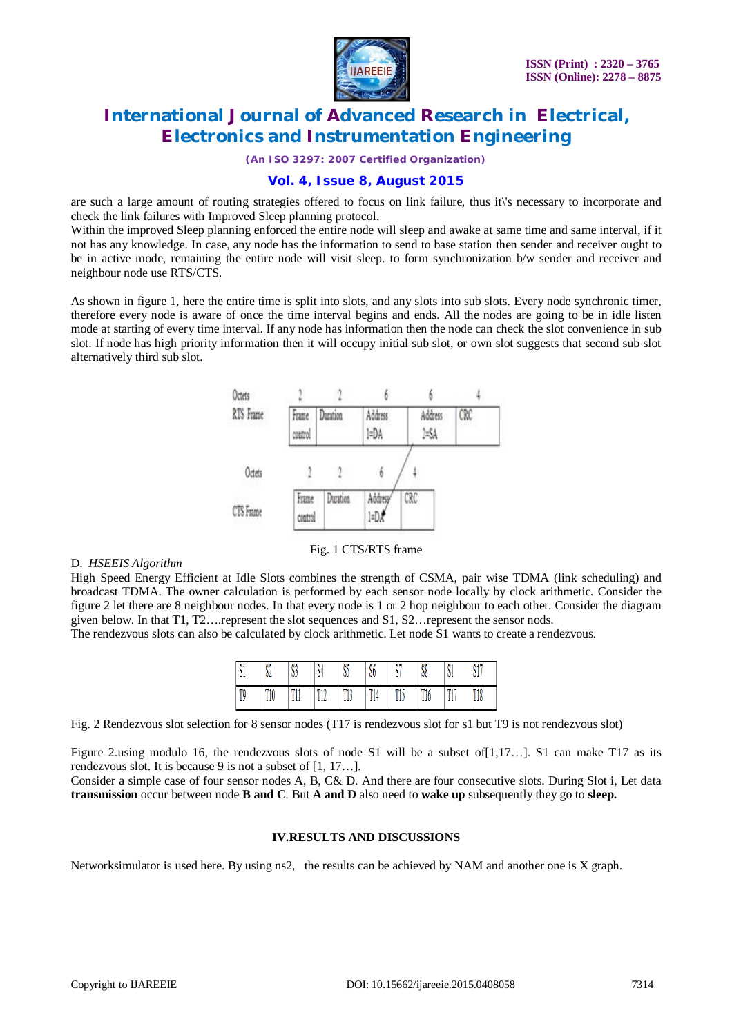

*(An ISO 3297: 2007 Certified Organization)*

# **Vol. 4, Issue 8, August 2015**

are such a large amount of routing strategies offered to focus on link failure, thus it\'s necessary to incorporate and check the link failures with Improved Sleep planning protocol.

Within the improved Sleep planning enforced the entire node will sleep and awake at same time and same interval, if it not has any knowledge. In case, any node has the information to send to base station then sender and receiver ought to be in active mode, remaining the entire node will visit sleep. to form synchronization b/w sender and receiver and neighbour node use RTS/CTS.

As shown in figure 1, here the entire time is split into slots, and any slots into sub slots. Every node synchronic timer, therefore every node is aware of once the time interval begins and ends. All the nodes are going to be in idle listen mode at starting of every time interval. If any node has information then the node can check the slot convenience in sub slot. If node has high priority information then it will occupy initial sub slot, or own slot suggests that second sub slot alternatively third sub slot.



# Fig. 1 CTS/RTS frame

### D. *HSEEIS Algorithm*

High Speed Energy Efficient at Idle Slots combines the strength of CSMA, pair wise TDMA (link scheduling) and broadcast TDMA. The owner calculation is performed by each sensor node locally by clock arithmetic. Consider the figure 2 let there are 8 neighbour nodes. In that every node is 1 or 2 hop neighbour to each other. Consider the diagram given below. In that T1, T2….represent the slot sequences and S1, S2…represent the sensor nods.

The rendezvous slots can also be calculated by clock arithmetic. Let node S1 wants to create a rendezvous.

| S1 | ٨٨<br>V4 | ٨A<br>V) | N.<br>34          | ΜĽ<br>w  | M<br>V) | \$7      | S8         | ٥ı<br>-M   | A I A<br>'N. |
|----|----------|----------|-------------------|----------|---------|----------|------------|------------|--------------|
| T9 | T10      | T11      | <b>min</b><br>444 | m10<br>Ш | T14     | mi c<br> | T10<br>110 | min<br>44. | T18          |

Fig. 2 Rendezvous slot selection for 8 sensor nodes (T17 is rendezvous slot for s1 but T9 is not rendezvous slot)

Figure 2.using modulo 16, the rendezvous slots of node S1 will be a subset of[1,17…]. S1 can make T17 as its rendezvous slot. It is because 9 is not a subset of [1, 17…].

Consider a simple case of four sensor nodes A, B, C& D. And there are four consecutive slots. During Slot i, Let data **transmission** occur between node **B and C**. But **A and D** also need to **wake up** subsequently they go to **sleep.**

### **IV.RESULTS AND DISCUSSIONS**

Networksimulator is used here. By using ns2, the results can be achieved by NAM and another one is X graph.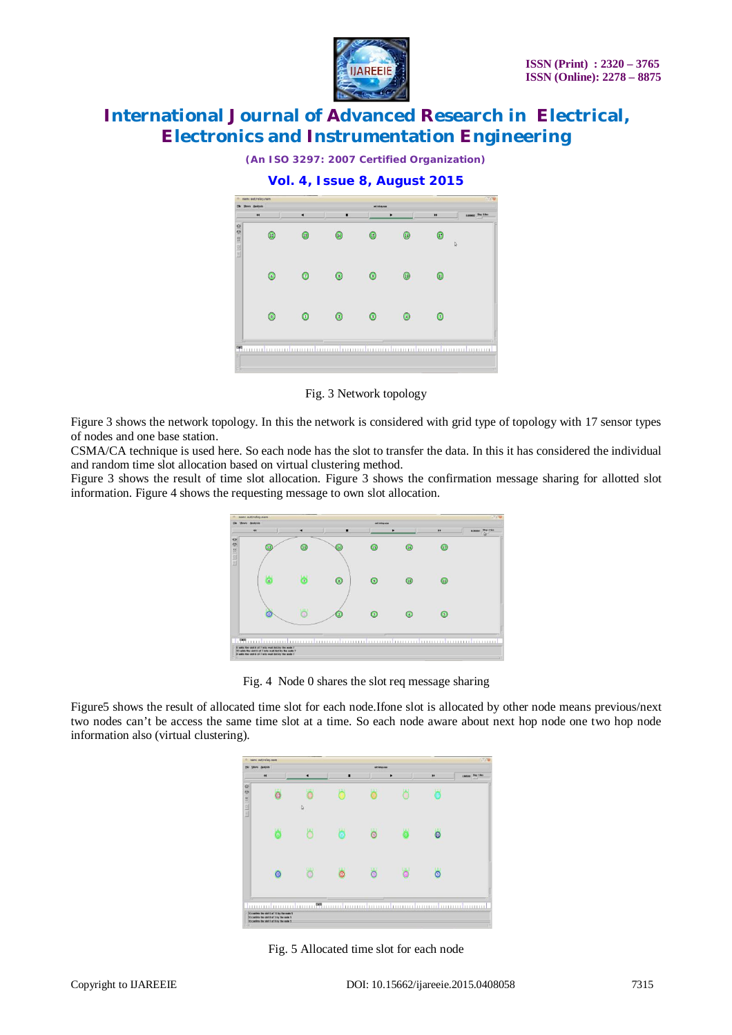

*(An ISO 3297: 2007 Certified Organization)*

**Vol. 4, Issue 8, August 2015**  $\Omega$  $\mathbf{G}$  $\circledR$  $\overline{a}$  $\sqrt{6}$  $\odot$  $\sqrt{6}$  $\overline{G}$  $\circ$  $\odot$  $\Omega$  $\odot$  $\odot$  $\odot$  $\odot$  $\odot$  $\odot$ 

Fig. 3 Network topology

Figure 3 shows the network topology. In this the network is considered with grid type of topology with 17 sensor types of nodes and one base station.

CSMA/CA technique is used here. So each node has the slot to transfer the data. In this it has considered the individual and random time slot allocation based on virtual clustering method.

Figure 3 shows the result of time slot allocation. Figure 3 shows the confirmation message sharing for allotted slot information. Figure 4 shows the requesting message to own slot allocation.



Fig. 4 Node 0 shares the slot req message sharing

Figure5 shows the result of allocated time slot for each node.Ifone slot is allocated by other node means previous/next two nodes can't be access the same time slot at a time. So each node aware about next hop node one two hop node information also (virtual clustering).

| $\ddot{ }$ |   | ٠            | ٠ |   | ٠ | $\bullet\bullet$    | 2.005203 Ship 1.0cc |
|------------|---|--------------|---|---|---|---------------------|---------------------|
| LEES O     |   | $\mathsf{D}$ |   |   |   | ł                   |                     |
|            |   |              |   | ര |   | $\overline{\omega}$ |                     |
|            | ര |              |   |   |   | ര                   |                     |

Fig. 5 Allocated time slot for each node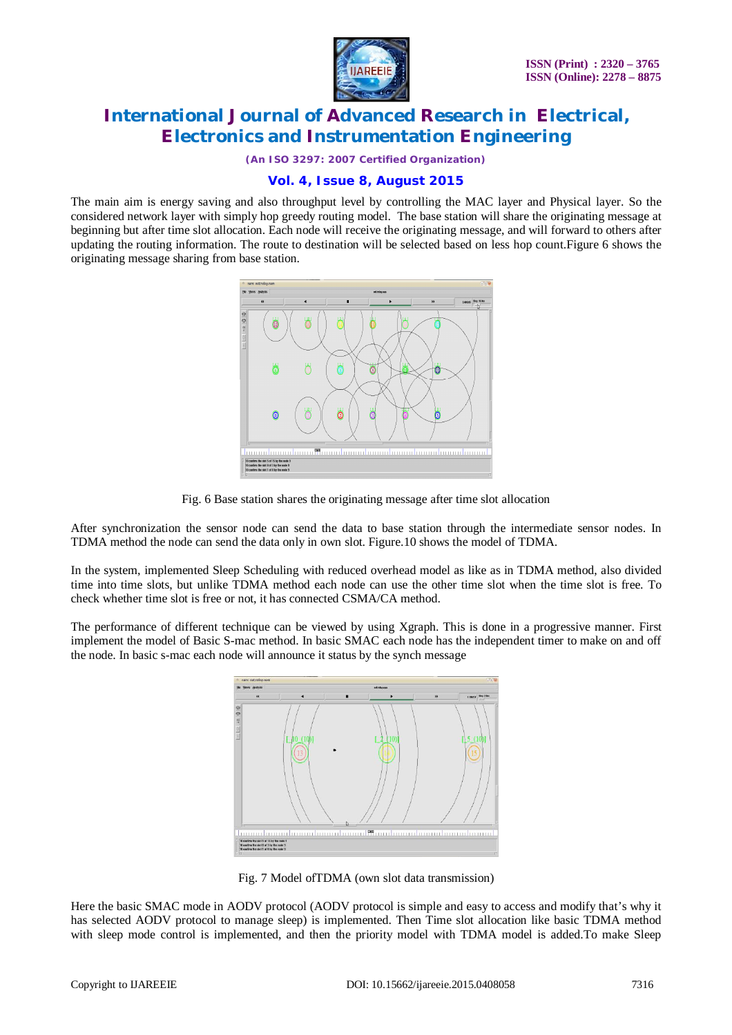

*(An ISO 3297: 2007 Certified Organization)*

# **Vol. 4, Issue 8, August 2015**

The main aim is energy saving and also throughput level by controlling the MAC layer and Physical layer. So the considered network layer with simply hop greedy routing model. The base station will share the originating message at beginning but after time slot allocation. Each node will receive the originating message, and will forward to others after updating the routing information. The route to destination will be selected based on less hop count.Figure 6 shows the originating message sharing from base station.





After synchronization the sensor node can send the data to base station through the intermediate sensor nodes. In TDMA method the node can send the data only in own slot. Figure.10 shows the model of TDMA.

In the system, implemented Sleep Scheduling with reduced overhead model as like as in TDMA method, also divided time into time slots, but unlike TDMA method each node can use the other time slot when the time slot is free. To check whether time slot is free or not, it has connected CSMA/CA method.

The performance of different technique can be viewed by using Xgraph. This is done in a progressive manner. First implement the model of Basic S-mac method. In basic SMAC each node has the independent timer to make on and off the node. In basic s-mac each node will announce it status by the synch message



Fig. 7 Model ofTDMA (own slot data transmission)

Here the basic SMAC mode in AODV protocol (AODV protocol is simple and easy to access and modify that's why it has selected AODV protocol to manage sleep) is implemented. Then Time slot allocation like basic TDMA method with sleep mode control is implemented, and then the priority model with TDMA model is added.To make Sleep